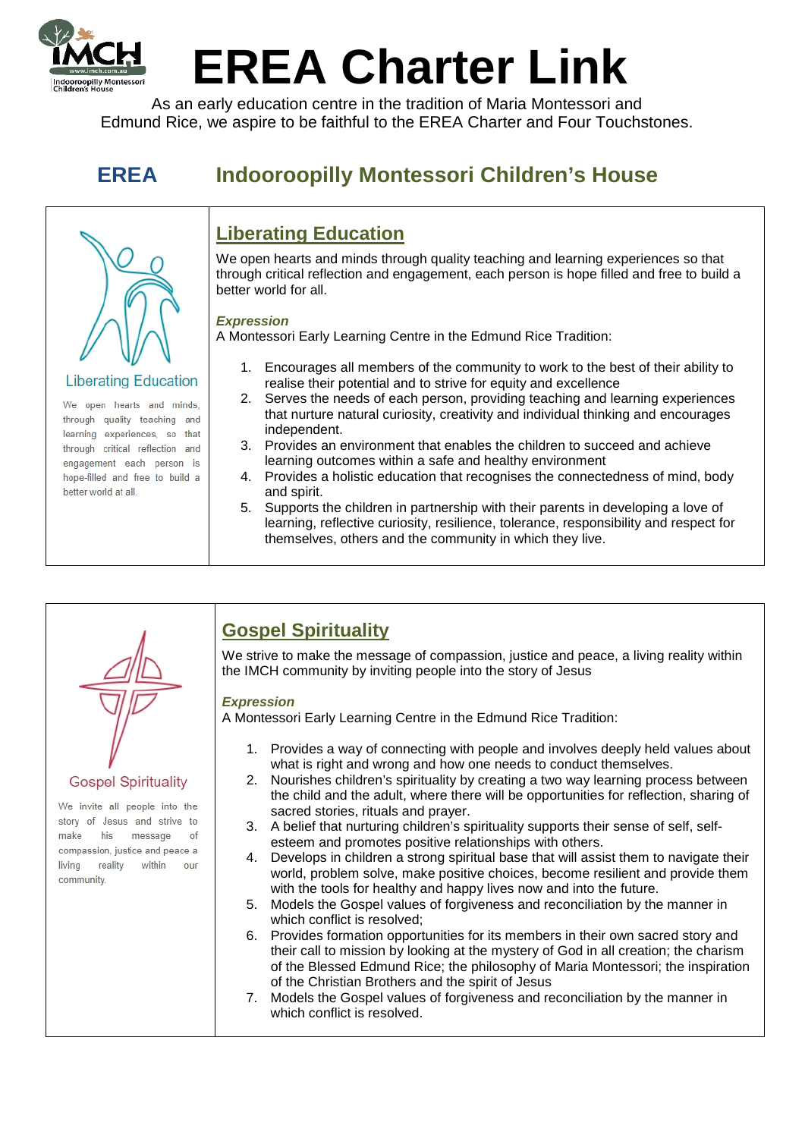

# **EREA Charter Link**

As an early education centre in the tradition of Maria Montessori and Edmund Rice, we aspire to be faithful to the EREA Charter and Four Touchstones.

# **EREA Indooroopilly Montessori Children's House**



#### **Liberating Education**

We open hearts and minds, through quality teaching and learning experiences, so that through critical reflection and engagement each person is hope-filled and free to build a better world at all.

### **Liberating Education**

We open hearts and minds through quality teaching and learning experiences so that through critical reflection and engagement, each person is hope filled and free to build a better world for all.

#### *Expression*

A Montessori Early Learning Centre in the Edmund Rice Tradition:

- 1. Encourages all members of the community to work to the best of their ability to realise their potential and to strive for equity and excellence
- 2. Serves the needs of each person, providing teaching and learning experiences that nurture natural curiosity, creativity and individual thinking and encourages independent.
- 3. Provides an environment that enables the children to succeed and achieve learning outcomes within a safe and healthy environment
- 4. Provides a holistic education that recognises the connectedness of mind, body and spirit.
- 5. Supports the children in partnership with their parents in developing a love of learning, reflective curiosity, resilience, tolerance, responsibility and respect for themselves, others and the community in which they live.



#### **Gospel Spirituality**

We invite all people into the story of Jesus and strive to his message of make compassion, justice and peace a living reality within our community.

## **Gospel Spirituality**

We strive to make the message of compassion, justice and peace, a living reality within the IMCH community by inviting people into the story of Jesus

#### *Expression*

A Montessori Early Learning Centre in the Edmund Rice Tradition:

- 1. Provides a way of connecting with people and involves deeply held values about what is right and wrong and how one needs to conduct themselves.
- 2. Nourishes children's spirituality by creating a two way learning process between the child and the adult, where there will be opportunities for reflection, sharing of sacred stories, rituals and prayer.
- 3. A belief that nurturing children's spirituality supports their sense of self, self-
- esteem and promotes positive relationships with others.
- 4. Develops in children a strong spiritual base that will assist them to navigate their world, problem solve, make positive choices, become resilient and provide them with the tools for healthy and happy lives now and into the future.
- 5. Models the Gospel values of forgiveness and reconciliation by the manner in which conflict is resolved;
- 6. Provides formation opportunities for its members in their own sacred story and their call to mission by looking at the mystery of God in all creation; the charism of the Blessed Edmund Rice; the philosophy of Maria Montessori; the inspiration of the Christian Brothers and the spirit of Jesus
- 7. Models the Gospel values of forgiveness and reconciliation by the manner in which conflict is resolved.